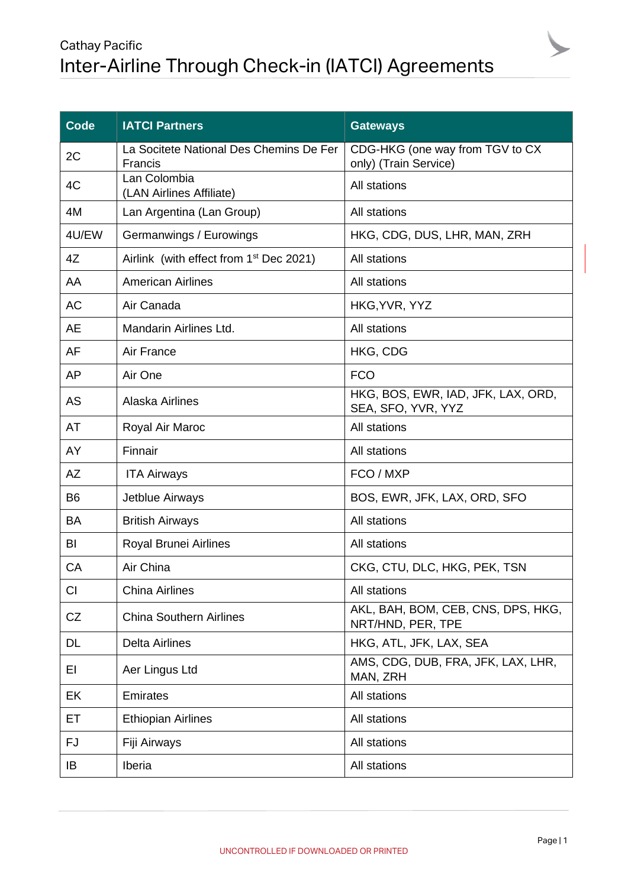## Cathay Pacific Inter-Airline Through Check-in (IATCI) Agreements

| <b>Code</b>    | <b>IATCI Partners</b>                               | <b>Gateways</b>                                          |
|----------------|-----------------------------------------------------|----------------------------------------------------------|
| 2C             | La Socitete National Des Chemins De Fer<br>Francis  | CDG-HKG (one way from TGV to CX<br>only) (Train Service) |
| 4C             | Lan Colombia<br>(LAN Airlines Affiliate)            | All stations                                             |
| 4M             | Lan Argentina (Lan Group)                           | All stations                                             |
| 4U/EW          | Germanwings / Eurowings                             | HKG, CDG, DUS, LHR, MAN, ZRH                             |
| 4Z             | Airlink (with effect from 1 <sup>st</sup> Dec 2021) | All stations                                             |
| AA             | <b>American Airlines</b>                            | All stations                                             |
| <b>AC</b>      | Air Canada                                          | HKG, YVR, YYZ                                            |
| <b>AE</b>      | Mandarin Airlines Ltd.                              | All stations                                             |
| AF             | Air France                                          | HKG, CDG                                                 |
| AP             | Air One                                             | <b>FCO</b>                                               |
| <b>AS</b>      | Alaska Airlines                                     | HKG, BOS, EWR, IAD, JFK, LAX, ORD,<br>SEA, SFO, YVR, YYZ |
| AT             | Royal Air Maroc                                     | All stations                                             |
| AY             | Finnair                                             | All stations                                             |
| AZ             | <b>ITA Airways</b>                                  | FCO / MXP                                                |
| B <sub>6</sub> | Jetblue Airways                                     | BOS, EWR, JFK, LAX, ORD, SFO                             |
| BA             | <b>British Airways</b>                              | All stations                                             |
| BI             | Royal Brunei Airlines                               | All stations                                             |
| CA             | Air China                                           | CKG, CTU, DLC, HKG, PEK, TSN                             |
| CI             | <b>China Airlines</b>                               | All stations                                             |
| CZ             | <b>China Southern Airlines</b>                      | AKL, BAH, BOM, CEB, CNS, DPS, HKG,<br>NRT/HND, PER, TPE  |
| DL             | <b>Delta Airlines</b>                               | HKG, ATL, JFK, LAX, SEA                                  |
| EI             | Aer Lingus Ltd                                      | AMS, CDG, DUB, FRA, JFK, LAX, LHR,<br>MAN, ZRH           |
| EK             | <b>Emirates</b>                                     | All stations                                             |
| ET             | <b>Ethiopian Airlines</b>                           | All stations                                             |
| <b>FJ</b>      | Fiji Airways                                        | All stations                                             |
| IB             | Iberia                                              | All stations                                             |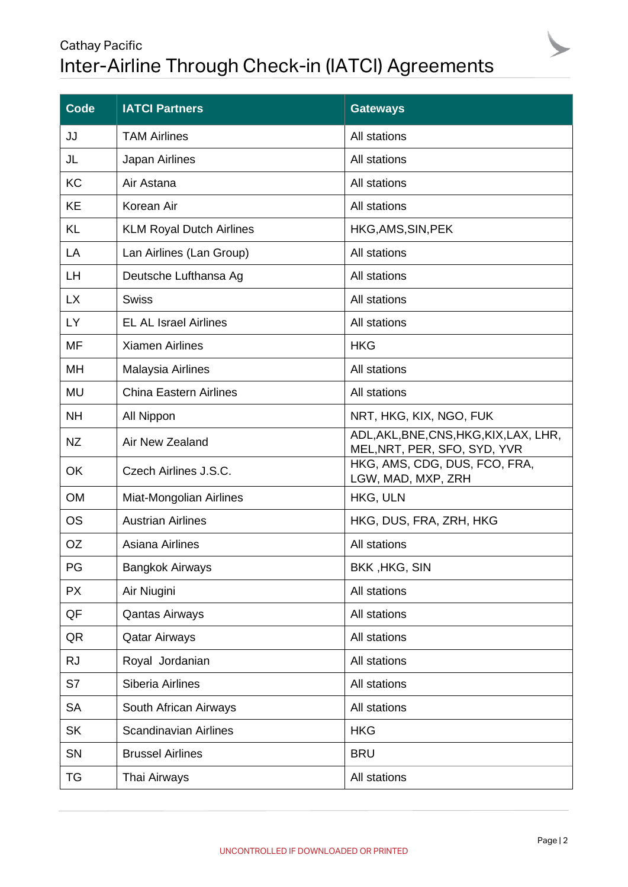## Cathay Pacific Inter-Airline Through Check-in (IATCI) Agreements

| Code      | <b>IATCI Partners</b>           | <b>Gateways</b>                                                         |
|-----------|---------------------------------|-------------------------------------------------------------------------|
| JJ        | <b>TAM Airlines</b>             | All stations                                                            |
| JL        | Japan Airlines                  | All stations                                                            |
| KC        | Air Astana                      | All stations                                                            |
| KE        | Korean Air                      | All stations                                                            |
| KL        | <b>KLM Royal Dutch Airlines</b> | HKG, AMS, SIN, PEK                                                      |
| LA        | Lan Airlines (Lan Group)        | All stations                                                            |
| <b>LH</b> | Deutsche Lufthansa Ag           | All stations                                                            |
| <b>LX</b> | <b>Swiss</b>                    | All stations                                                            |
| <b>LY</b> | <b>EL AL Israel Airlines</b>    | All stations                                                            |
| <b>MF</b> | <b>Xiamen Airlines</b>          | <b>HKG</b>                                                              |
| MH        | Malaysia Airlines               | All stations                                                            |
| <b>MU</b> | <b>China Eastern Airlines</b>   | All stations                                                            |
| <b>NH</b> | All Nippon                      | NRT, HKG, KIX, NGO, FUK                                                 |
| <b>NZ</b> | Air New Zealand                 | ADL, AKL, BNE, CNS, HKG, KIX, LAX, LHR,<br>MEL, NRT, PER, SFO, SYD, YVR |
| OK        | Czech Airlines J.S.C.           | HKG, AMS, CDG, DUS, FCO, FRA,<br>LGW, MAD, MXP, ZRH                     |
| <b>OM</b> | Miat-Mongolian Airlines         | HKG, ULN                                                                |
| <b>OS</b> | <b>Austrian Airlines</b>        | HKG, DUS, FRA, ZRH, HKG                                                 |
| <b>OZ</b> | Asiana Airlines                 | All stations                                                            |
| PG        | <b>Bangkok Airways</b>          | BKK, HKG, SIN                                                           |
| <b>PX</b> | Air Niugini                     | All stations                                                            |
| QF        | <b>Qantas Airways</b>           | All stations                                                            |
| QR        | <b>Qatar Airways</b>            | All stations                                                            |
| <b>RJ</b> | Royal Jordanian                 | All stations                                                            |
| S7        | Siberia Airlines                | All stations                                                            |
| <b>SA</b> | South African Airways           | All stations                                                            |
| <b>SK</b> | <b>Scandinavian Airlines</b>    | <b>HKG</b>                                                              |
| SN        | <b>Brussel Airlines</b>         | <b>BRU</b>                                                              |
| <b>TG</b> | Thai Airways                    | All stations                                                            |